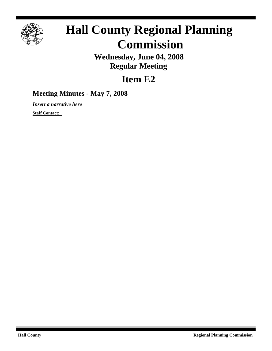

# **Hall County Regional Planning Commission**

**Wednesday, June 04, 2008 Regular Meeting**

## **Item E2**

### **Meeting Minutes - May 7, 2008**

*Insert a narrative here*

**Staff Contact:**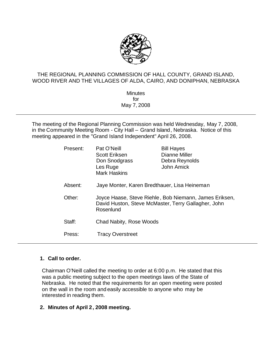

#### THE REGIONAL PLANNING COMMISSION OF HALL COUNTY, GRAND ISLAND, WOOD RIVER AND THE VILLAGES OF ALDA, CAIRO, AND DONIPHAN, NEBRASKA

**Minutes** for May 7, 2008

The meeting of the Regional Planning Commission was held Wednesday, May 7, 2008, in the Community Meeting Room - City Hall – Grand Island, Nebraska. Notice of this meeting appeared in the "Grand Island Independent" April 26, 2008.

| Present: | Pat O'Neill<br><b>Scott Eriksen</b><br>Don Snodgrass<br>Les Ruge<br><b>Mark Haskins</b>                                    | <b>Bill Hayes</b><br>Dianne Miller<br>Debra Reynolds<br>John Amick |  |  |  |  |  |
|----------|----------------------------------------------------------------------------------------------------------------------------|--------------------------------------------------------------------|--|--|--|--|--|
| Absent:  | Jaye Monter, Karen Bredthauer, Lisa Heineman                                                                               |                                                                    |  |  |  |  |  |
| Other:   | Joyce Haase, Steve Riehle, Bob Niemann, James Eriksen,<br>David Huston, Steve McMaster, Terry Gallagher, John<br>Rosenlund |                                                                    |  |  |  |  |  |
| Staff:   | Chad Nabity, Rose Woods                                                                                                    |                                                                    |  |  |  |  |  |
| Press:   | <b>Tracy Overstreet</b>                                                                                                    |                                                                    |  |  |  |  |  |

#### **1. Call to order.**

Chairman O'Neill called the meeting to order at 6:00 p.m. He stated that this was a public meeting subject to the open meetings laws of the State of Nebraska. He noted that the requirements for an open meeting were posted on the wall in the room and easily accessible to anyone who may be interested in reading them.

#### **2. Minutes of April 2, 2008 meeting.**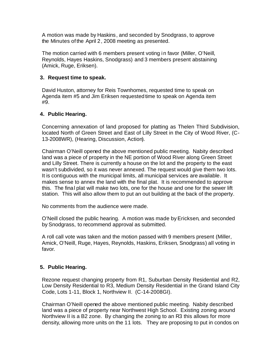A motion was made by Haskins, and seconded by Snodgrass, to approve the Minutes of the April 2, 2008 meeting as presented.

The motion carried with 6 members present voting in favor (Miller, O'Neill, Reynolds, Hayes Haskins, Snodgrass) and 3 members present abstaining (Amick, Ruge, Eriksen).

#### **3. Request time to speak.**

David Huston, attorney for Reis Townhomes, requested time to speak on Agenda item #5 and Jim Eriksen requested time to speak on Agenda item #9.

#### **4. Public Hearing.**

Concerning annexation of land proposed for platting as Thelen Third Subdivision, located North of Green Street and East of Lilly Street in the City of Wood River, (C-13-2008WR), (Hearing, Discussion, Action).

Chairman O'Neill opened the above mentioned public meeting.Nabity described land was a piece of property in the NE portion of Wood River along Green Street and Lilly Street. There is currently a house on the lot and the property to the east wasn't subdivided, so it was never annexed. The request would give them two lots. It is contiguous with the municipal limits, all municipal services are available. It makes sense to annex the land with the final plat. It is recommended to approve this. The final plat will make two lots, one for the house and one for the sewer lift station. This will also allow them to put an out building at the back of the property.

No comments from the audience were made.

O'Neill closed the public hearing. A motion was made byEricksen, and seconded by Snodgrass, to recommend approval as submitted.

A roll call vote was taken and the motion passed with 9 members present (Miller, Amick, O'Neill, Ruge, Hayes, Reynolds, Haskins, Eriksen, Snodgrass) all voting in favor.

#### **5. Public Hearing.**

Rezone request changing property from R1, Suburban Density Residential and R2, Low Density Residential to R3, Medium Density Residential in the Grand Island City Code, Lots 1-11, Block 1, Northview II. (C-14-2008GI).

Chairman O'Neill opened the above mentioned public meeting.Nabity described land was a piece of property near Northwest High School. Existing zoning around Northview II is a B2 zone. By changing the zoning to an R3 this allows for more density, allowing more units on the 11 lots. They are proposing to put in condos on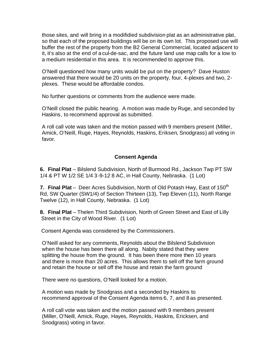those sites, and will bring in a modifidied subdivision plat as an administrative plat, so that each of the proposed buildings will be on its own lot. This proposed use will buffer the rest of the property from the B2 General Commercial, located adjacent to it, it's also at the end of a cul-de-sac, and the future land use map calls for a low to a medium residential in this area. It is recommended to approve this.

O'Neill questioned how many units would be put on the property? Dave Huston answered that there would be 20 units on the property, four, 4-plexes and two, 2 plexes. These would be affordable condos.

No further questions or comments from the audience were made.

O'Neill closed the public hearing. A motion was made by Ruge, and seconded by Haskins, to recommend approval as submitted.

A roll call vote was taken and the motion passed with 9 members present (Miller, Amick, O'Neill, Ruge, Hayes, Reynolds, Haskins, Eriksen, Snodgrass) all voting in favor.

#### **Consent Agenda**

**6. Final Plat** – Bilslend Subdivision, North of Burmood Rd., Jackson Twp PT SW 1/4 & PT W 1/2 SE 1/4 3-9-12 8 AC, in Hall County, Nebraska. (1 Lot)

**7. Final Plat** – Deer Acres Subdivision, North of Old Potash Hwy, East of 150<sup>th</sup> Rd, SW Quarter (SW1/4) of Section Thirteen (13), Twp Eleven (11), North Range Twelve (12), in Hall County, Nebraska. (1 Lot)

**8. Final Plat** – Thelen Third Subdivision, North of Green Street and East of Lilly Street in the City of Wood River. (1 Lot)

Consent Agenda was considered by the Commissioners.

O'Neill asked for any comments, Reynolds about the Bilslend Subdivision when the house has been there all along. Nabity stated that they were splitting the house from the ground. It has been there more then 10 years and there is more than 20 acres. This allows them to sell off the farm ground and retain the house or sell off the house and retain the farm ground

There were no questions, O'Neill looked for a motion.

A motion was made by Snodgrass and a seconded by Haskins to recommend approval of the Consent Agenda items 6, 7, and 8 as presented.

A roll call vote was taken and the motion passed with 9 members present (Miller, O'Neill, Amick, Ruge, Hayes, Reynolds, Haskins, Ericksen, and Snodgrass) voting in favor.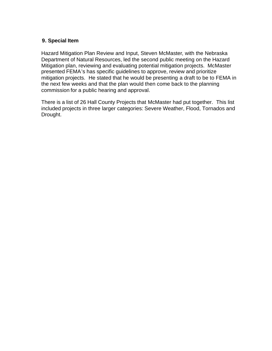#### **9. Special Item**

Hazard Mitigation Plan Review and Input, Steven McMaster, with the Nebraska Department of Natural Resources, led the second public meeting on the Hazard Mitigation plan, reviewing and evaluating potential mitigation projects. McMaster presented FEMA's has specific guidelines to approve, review and prioritize mitigation projects. He stated that he would be presenting a draft to be to FEMA in the next few weeks and that the plan would then come back to the planning commission for a public hearing and approval.

There is a list of 26 Hall County Projects that McMaster had put together. This list included projects in three larger categories: Severe Weather, Flood, Tornados and Drought.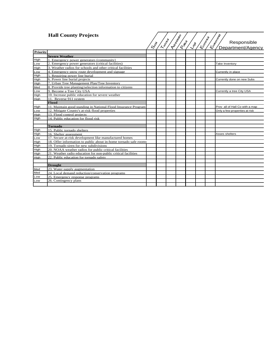#### **Hall County Projects**

|                 | <b>Hall County Projects</b>                                      |      | Letter | <b>Ashimonical</b><br><b>QUEEN</b> |     | <b>KIDOREE</b> | <b>K.Timbered</b><br>Responsible |
|-----------------|------------------------------------------------------------------|------|--------|------------------------------------|-----|----------------|----------------------------------|
|                 |                                                                  | Cost |        |                                    | LOS |                | Department/Agency                |
| <b>Priority</b> |                                                                  |      |        |                                    |     |                |                                  |
|                 | <b>Severe Weather</b>                                            |      |        |                                    |     |                |                                  |
| High            | 1. Emergency power generators (community)                        |      |        |                                    |     |                |                                  |
| Low             | 2. Emergency power generators (critical facilities)              |      |        |                                    |     |                | Take Inventory                   |
| High            | 3. Weather radios for schools and other critical facilities      |      |        |                                    |     |                |                                  |
| Low             | 4. Emergency snow route development and signage                  |      |        |                                    |     |                | Currently in place               |
| High            | 5. Requiring power line burial                                   |      |        |                                    |     |                |                                  |
| High            | 6. Power line burial projects                                    |      |        |                                    |     |                | Currently done on new Subs       |
| High            | 7. Urban Tree Management Plan/Tree Inventory                     |      |        |                                    |     |                |                                  |
| Med             | 8. Provide tree planting/selection information to citizens       |      |        |                                    |     |                |                                  |
| Low             | 9. Become a Tree City USA                                        |      |        |                                    |     |                | Currently a tree City USA        |
| High            | 10. Increase public education for severe weather                 |      |        |                                    |     |                |                                  |
| High            | 11. Reverse 911 system                                           |      |        |                                    |     |                |                                  |
|                 | Flood                                                            |      |        |                                    |     |                |                                  |
| High            | 11. Maintain good standing in National Flood Insurance Program   |      |        |                                    |     |                | Prov all of Hall Co with a map   |
| Low             | 12. Mitigate County's at-risk flood properties                   |      |        |                                    |     |                | Only a few properties at risk    |
| High            | 13. Flood control projects                                       |      |        |                                    |     |                |                                  |
| High            | 14. Public education for flood risk                              |      |        |                                    |     |                |                                  |
|                 |                                                                  |      |        |                                    |     |                |                                  |
|                 | <b>Tornado</b>                                                   |      |        |                                    |     |                |                                  |
| High            | 15. Public tornado shelters                                      |      |        |                                    |     |                |                                  |
| High            | 16. Shelter assessment                                           |      |        |                                    |     |                | Asses shelters                   |
| Low             | 17. Secure at-risk development like manufactured homes           |      |        |                                    |     |                |                                  |
| High            | 18. Offer information to public about in-home tornado safe rooms |      |        |                                    |     |                |                                  |
| High            | 19. Tornado siren for new subdivisions                           |      |        |                                    |     |                |                                  |
| High            | 20. NOAA weather radios for public critical facilities           |      |        |                                    |     |                |                                  |
| High            | 21. Weather radio education for non-public critical facilities   |      |        |                                    |     |                |                                  |
| High            | 22. Public education for tornado safety                          |      |        |                                    |     |                |                                  |
|                 |                                                                  |      |        |                                    |     |                |                                  |
|                 | <b>Drought</b>                                                   |      |        |                                    |     |                |                                  |
| Med             | 23. Water supply augmentation                                    |      |        |                                    |     |                |                                  |
| Med             | 24. Local demand reduction/conservation programs                 |      |        |                                    |     |                |                                  |
| Low             | 25. Emergency response programs                                  |      |        |                                    |     |                |                                  |
| Low             | 26. Contingency plans                                            |      |        |                                    |     |                |                                  |
|                 |                                                                  |      |        |                                    |     |                |                                  |